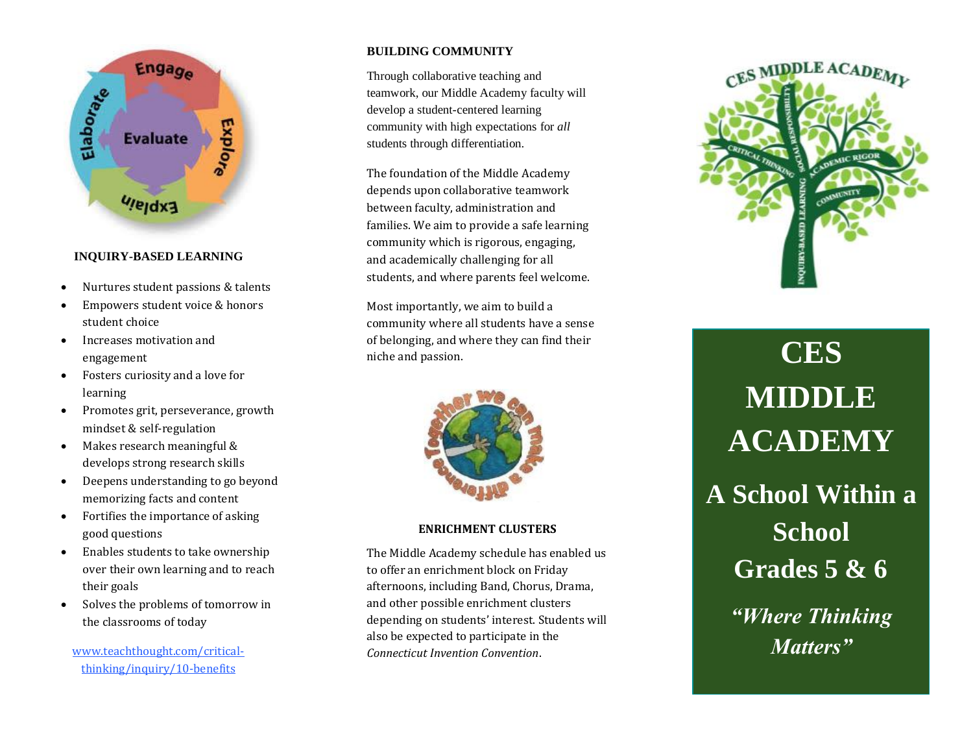

# **INQUIRY-BASED LEARNING**

- Nurtures student passions & talents
- Empowers student voice & honors student choice
- Increases motivation and engagement
- Fosters curiosity and a love for learning
- Promotes grit, perseverance, growth mindset & self-regulation
- Makes research meaningful & develops strong research skills
- Deepens understanding to go beyond memorizing facts and content
- Fortifies the importance of asking good questions
- Enables students to take ownership over their own learning and to reach their goals
- Solves the problems of tomorrow in the classrooms of today

[www.teachthought.com/critical](http://www.teachthought.com/critical-thinking/inquiry/10-benefits)[thinking/inquiry/10-benefits](http://www.teachthought.com/critical-thinking/inquiry/10-benefits)

# **BUILDING COMMUNITY**

Through collaborative teaching and teamwork, our Middle Academy faculty will develop a student-centered learning community with high expectations for *all* students through differentiation.

The foundation of the Middle Academy depends upon collaborative teamwork between faculty, administration and families. We aim to provide a safe learning community which is rigorous, engaging, and academically challenging for all students, and where parents feel welcome.

Most importantly, we aim to build a community where all students have a sense of belonging, and where they can find their niche and passion.



#### **ENRICHMENT CLUSTERS**

The Middle Academy schedule has enabled us to offer an enrichment block on Friday afternoons, including Band, Chorus, Drama, and other possible enrichment clusters depending on students' interest. Students will also be expected to participate in the *Connecticut Invention Convention*.



**CES MIDDLE ACADEMY A School Within a School Grades 5 & 6** *"Where Thinking Matters"*